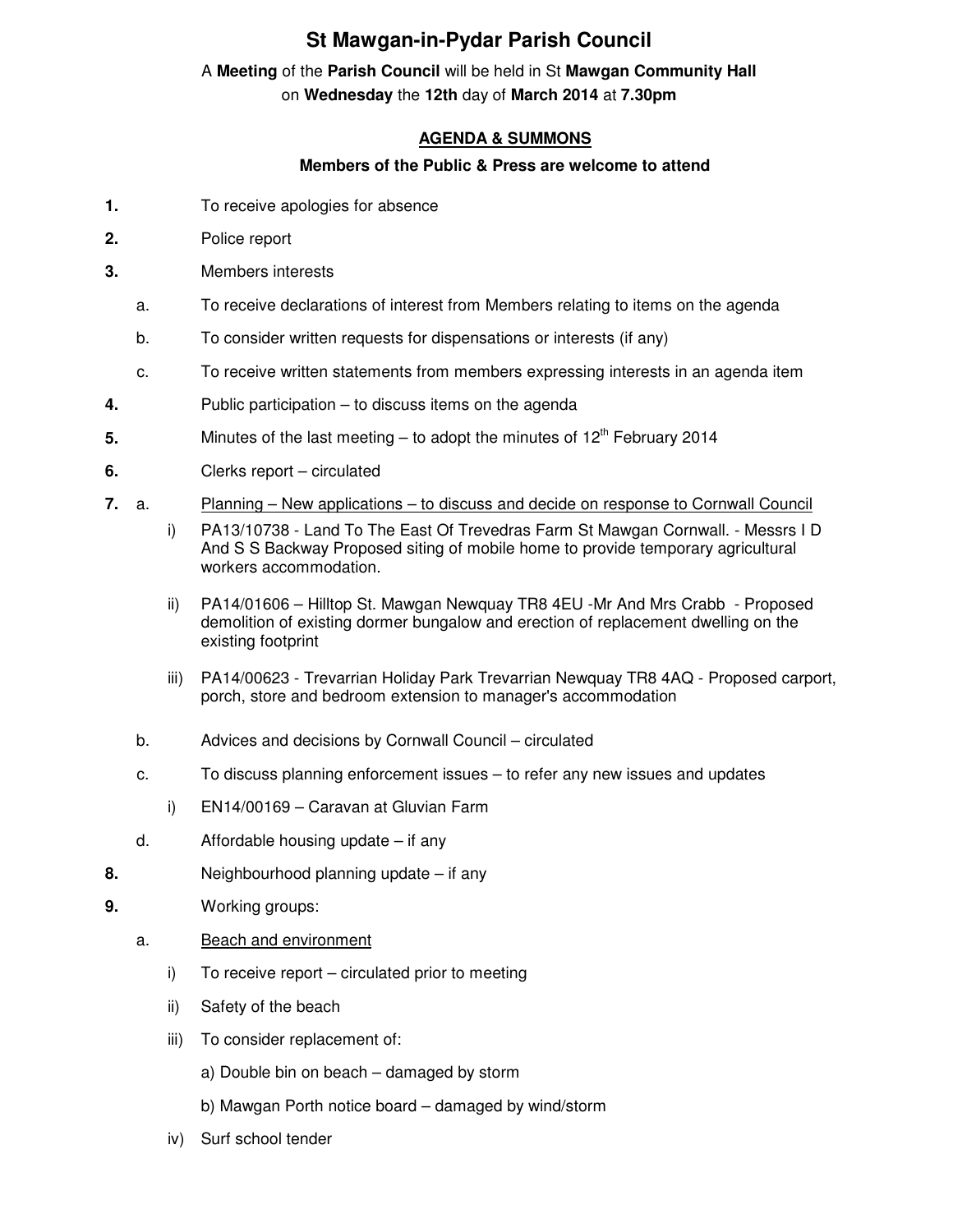# **St Mawgan-in-Pydar Parish Council**

## A **Meeting** of the **Parish Council** will be held in St **Mawgan Community Hall** on **Wednesday** the **12th** day of **March 2014** at **7.30pm**

### **AGENDA & SUMMONS**

#### **Members of the Public & Press are welcome to attend**

- **1.** To receive apologies for absence
- **2.** Police report
- **3.** Members interests
	- a. To receive declarations of interest from Members relating to items on the agenda
	- b. To consider written requests for dispensations or interests (if any)
	- c. To receive written statements from members expressing interests in an agenda item
- **4.** Public participation to discuss items on the agenda
- **5.** Minutes of the last meeting to adopt the minutes of 12<sup>th</sup> February 2014
- **6.** Clerks report circulated
- **7.** a. Planning New applications to discuss and decide on response to Cornwall Council
	- i) PA13/10738 Land To The East Of Trevedras Farm St Mawgan Cornwall. Messrs I D And S S Backway Proposed siting of mobile home to provide temporary agricultural workers accommodation.
	- ii) PA14/01606 Hilltop St. Mawgan Newquay TR8 4EU -Mr And Mrs Crabb Proposed demolition of existing dormer bungalow and erection of replacement dwelling on the existing footprint
	- iii) PA14/00623 Trevarrian Holiday Park Trevarrian Newquay TR8 4AQ Proposed carport, porch, store and bedroom extension to manager's accommodation
	- b. Advices and decisions by Cornwall Council circulated
	- c. To discuss planning enforcement issues to refer any new issues and updates
		- i) EN14/00169 Caravan at Gluvian Farm
	- d. Affordable housing update if any
- **8.** Neighbourhood planning update if any
- **9.** Working groups:
	- a. Beach and environment
		- i) To receive report circulated prior to meeting
		- ii) Safety of the beach
		- iii) To consider replacement of:
			- a) Double bin on beach damaged by storm
			- b) Mawgan Porth notice board damaged by wind/storm
		- iv) Surf school tender